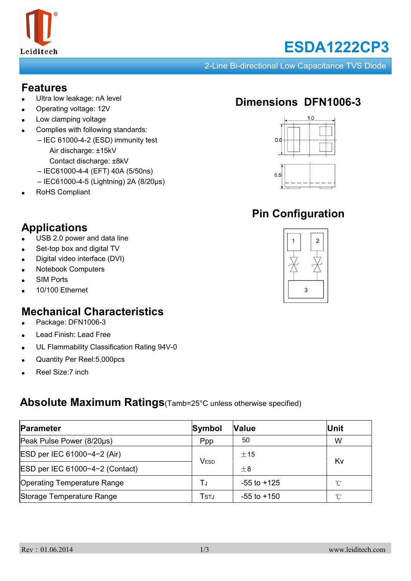

# **ESDA1222CP3**

2-Line Bi-directional Low Capacitance TVS Diode

#### **Features**

- Ultra low leakage: nA level
- Operating voltage: 12V
- Low clamping voltage
- Complies with following standards:
	- IEC 61000-4-2 (ESD) immunity test Air discharge: ±15kV Contact discharge: ±8kV
	- IEC61000-4-4 (EFT) 40A (5/50ns)
	- IEC61000-4-5 (Lightning) 2A (8/20μs)
- RoHS Compliant

# **Applications**

- USB 2.0 power and data line
- Set-top box and digital TV
- Digital video interface (DVI)
- **Notebook Computers**
- **SIM Ports**
- 10/100 Ethernet

#### **Mechanical Characteristics**

- Package: DFN1006-3
- Lead Finish: Lead Free
- UL Flammability Classification Rating 94V-0
- Quantity Per Reel: 5,000pcs
- Reel Size: 7 inch

#### **Absolute Maximum Ratings**(Tamb=25°C unless otherwise specified)

| Parameter                          | Symbol | <b>Value</b>    | Unit         |
|------------------------------------|--------|-----------------|--------------|
| Peak Pulse Power (8/20µs)          | Ppp    | 50              | W            |
| ESD per IEC 61000-4-2 (Air)        | VESD   | ± 15            | Kv           |
| ESD per IEC 61000-4-2 (Contact)    |        | $+8$            |              |
| <b>Operating Temperature Range</b> | TJ     | $-55$ to $+125$ | $^{\circ}$ C |
| Storage Temperature Range          | Tstj   | $-55$ to $+150$ | $^{\circ}$ C |

# **Dimensions DFN1006-3**



# **Pin Configuration**

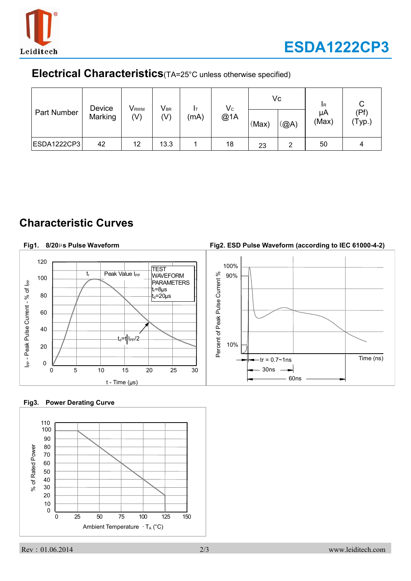

#### **Electrical Characteristics**(TA=25°C unless otherwise specified)

| Part Number        | Device<br>Marking | V <sub>rwm</sub><br>(V) | $V_{BR}$<br>(V) | (mA) | $V_c$<br>@1A | (Max) | Vc<br>(@A) | <b>I</b> R<br>μA<br>(Max) | (Pf)<br>$'$ Typ.) |
|--------------------|-------------------|-------------------------|-----------------|------|--------------|-------|------------|---------------------------|-------------------|
| <b>ESDA1222CP3</b> | 42                | 12                      | 13.3            |      | 18           | 23    | 2          | 50                        | 4                 |

### **Characteristic Curves**

**Fig1. 8/20**µ**s Pulse Waveform**

### **Fig2. ESD Pulse Waveform (according to IEC 61000-4-2)**